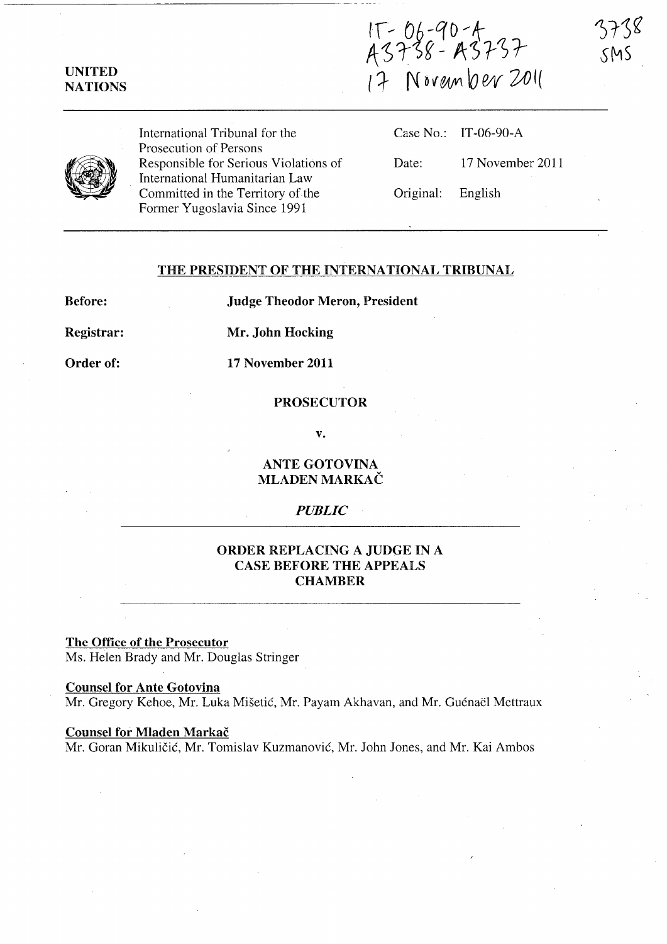IT - 06-90-4<br>A3738 - A3737<br>I7 November 2011



UNITED **NATIONS** 

> International Tribunal for the Prosecution of Persons Responsible for Serious Violations of International Humanitarian Law Committed in the Territory of the Former Yugoslavia Since 1991

|                   | Case No.: IT-06-90-A |
|-------------------|----------------------|
| Date:             | 17 November 2011     |
| Original: English |                      |

### THE PRESIDENT OF THE INTERNATIONAL TRIBUNAL

Before:

Judge Theodor Meron, President

Registrar: Mr. John Hocking

Order of:

17 November 2011

# PROSECUTOR

v.

ANTE GOTOVINA MLADEN MARKAC

### *PUBLIC*

## ORDER REPLACING A JUDGE IN A CASE BEFORE THE APPEALS **CHAMBER**

The Office of the Prosecutor Ms. Helen Brady and Mr. Douglas Stringer

Counsel for Ante Gotovina Mr. Gregory Kehoe, Mr. Luka Mišetić, Mr. Payam Akhavan, and Mr. Guénaël Mettraux

#### Counsel for Mladen Markač

Mr. Goran Mikuličić, Mr. Tomislav Kuzmanović, Mr. John Jones, and Mr. Kai Ambos